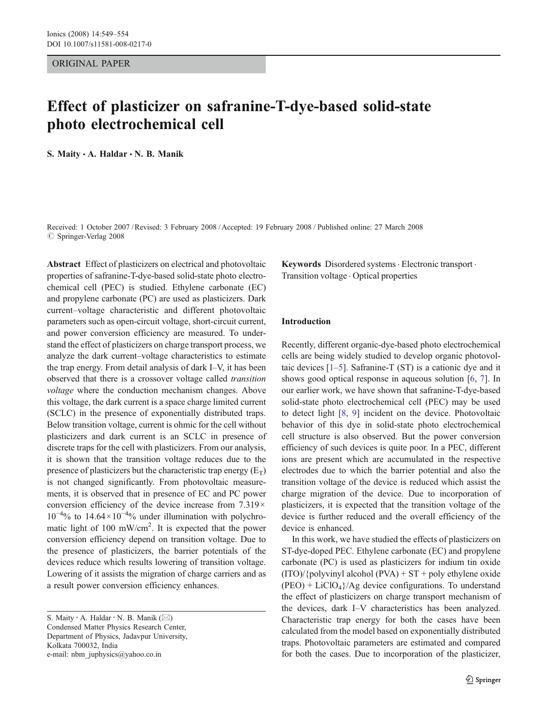#### ORIGINAL PAPER

# Effect of plasticizer on safranine-T-dye-based solid-state photo electrochemical cell

S. Maity  $\cdot$  A. Haldar  $\cdot$  N. B. Manik

Received: 1 October 2007 /Revised: 3 February 2008 /Accepted: 19 February 2008 / Published online: 27 March 2008  $\oslash$  Springer-Verlag 2008

Abstract Effect of plasticizers on electrical and photovoltaic properties of safranine-T-dye-based solid-state photo electrochemical cell (PEC) is studied. Ethylene carbonate (EC) and propylene carbonate (PC) are used as plasticizers. Dark current–voltage characteristic and different photovoltaic parameters such as open-circuit voltage, short-circuit current, and power conversion efficiency are measured. To understand the effect of plasticizers on charge transport process, we analyze the dark current–voltage characteristics to estimate the trap energy. From detail analysis of dark I–V, it has been observed that there is a crossover voltage called transition voltage where the conduction mechanism changes. Above this voltage, the dark current is a space charge limited current (SCLC) in the presence of exponentially distributed traps. Below transition voltage, current is ohmic for the cell without plasticizers and dark current is an SCLC in presence of discrete traps for the cell with plasticizers. From our analysis, it is shown that the transition voltage reduces due to the presence of plasticizers but the characteristic trap energy  $(E_T)$ is not changed significantly. From photovoltaic measurements, it is observed that in presence of EC and PC power conversion efficiency of the device increase from  $7.319 \times$ 10−<sup>4</sup> % to 14.64×10−<sup>4</sup> % under illumination with polychromatic light of  $100 \text{ mW/cm}^2$ . It is expected that the power conversion efficiency depend on transition voltage. Due to the presence of plasticizers, the barrier potentials of the devices reduce which results lowering of transition voltage. Lowering of it assists the migration of charge carriers and as a result power conversion efficiency enhances.

Keywords Disordered systems · Electronic transport · Transition voltage . Optical properties

# Introduction

Recently, different organic-dye-based photo electrochemical cells are being widely studied to develop organic photovoltaic devices  $[1–5]$  $[1–5]$  $[1–5]$  $[1–5]$ . Safranine-T (ST) is a cationic dye and it shows good optical response in aqueous solution [\[6](#page-5-0), [7\]](#page-5-0). In our earlier work, we have shown that safranine-T-dye-based solid-state photo electrochemical cell (PEC) may be used to detect light [\[8](#page-5-0), [9\]](#page-5-0) incident on the device. Photovoltaic behavior of this dye in solid-state photo electrochemical cell structure is also observed. But the power conversion efficiency of such devices is quite poor. In a PEC, different ions are present which are accumulated in the respective electrodes due to which the barrier potential and also the transition voltage of the device is reduced which assist the charge migration of the device. Due to incorporation of plasticizers, it is expected that the transition voltage of the device is further reduced and the overall efficiency of the device is enhanced.

In this work, we have studied the effects of plasticizers on ST-dye-doped PEC. Ethylene carbonate (EC) and propylene carbonate (PC) is used as plasticizers for indium tin oxide  $(TTO)/\{\text{polyvinyl alcohol (PVA)} + ST + \text{poly ethylene oxide}\}$  $(PEO) + LiClO<sub>4</sub>$ /Ag device configurations. To understand the effect of plasticizers on charge transport mechanism of the devices, dark I–V characteristics has been analyzed. Characteristic trap energy for both the cases have been calculated from the model based on exponentially distributed traps. Photovoltaic parameters are estimated and compared for both the cases. Due to incorporation of the plasticizer,

S. Maity : A. Haldar : N. B. Manik (*\**) Condensed Matter Physics Research Center, Department of Physics, Jadavpur University, Kolkata 700032, India e-mail: nbm\_juphysics@yahoo.co.in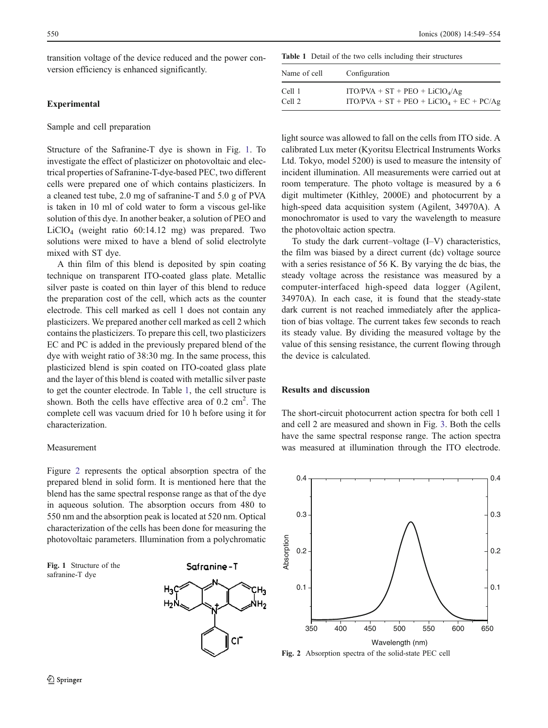<span id="page-1-0"></span>transition voltage of the device reduced and the power conversion efficiency is enhanced significantly.

# Experimental

#### Sample and cell preparation

Structure of the Safranine-T dye is shown in Fig. 1. To investigate the effect of plasticizer on photovoltaic and electrical properties of Safranine-T-dye-based PEC, two different cells were prepared one of which contains plasticizers. In a cleaned test tube, 2.0 mg of safranine-T and 5.0 g of PVA is taken in 10 ml of cold water to form a viscous gel-like solution of this dye. In another beaker, a solution of PEO and LiClO4 (weight ratio 60:14.12 mg) was prepared. Two solutions were mixed to have a blend of solid electrolyte mixed with ST dye.

A thin film of this blend is deposited by spin coating technique on transparent ITO-coated glass plate. Metallic silver paste is coated on thin layer of this blend to reduce the preparation cost of the cell, which acts as the counter electrode. This cell marked as cell 1 does not contain any plasticizers. We prepared another cell marked as cell 2 which contains the plasticizers. To prepare this cell, two plasticizers EC and PC is added in the previously prepared blend of the dye with weight ratio of 38:30 mg. In the same process, this plasticized blend is spin coated on ITO-coated glass plate and the layer of this blend is coated with metallic silver paste to get the counter electrode. In Table 1, the cell structure is shown. Both the cells have effective area of  $0.2 \text{ cm}^2$ . The complete cell was vacuum dried for 10 h before using it for characterization.

#### Measurement

Figure 2 represents the optical absorption spectra of the prepared blend in solid form. It is mentioned here that the blend has the same spectral response range as that of the dye in aqueous solution. The absorption occurs from 480 to 550 nm and the absorption peak is located at 520 nm. Optical characterization of the cells has been done for measuring the photovoltaic parameters. Illumination from a polychromatic

Fig. 1 Structure of the safranine-T dye



Table 1 Detail of the two cells including their structures

| Name of cell | Configuration                              |  |  |
|--------------|--------------------------------------------|--|--|
| Cell 1       | $ITO/PVA + ST + PEO + LiClO4/Ag$           |  |  |
| Cell 2       | $ITO/PVA + ST + PEO + LiClO4 + EC + PC/Ag$ |  |  |

light source was allowed to fall on the cells from ITO side. A calibrated Lux meter (Kyoritsu Electrical Instruments Works Ltd. Tokyo, model 5200) is used to measure the intensity of incident illumination. All measurements were carried out at room temperature. The photo voltage is measured by a 6 digit multimeter (Kithley, 2000E) and photocurrent by a high-speed data acquisition system (Agilent, 34970A). A monochromator is used to vary the wavelength to measure the photovoltaic action spectra.

To study the dark current–voltage (I–V) characteristics, the film was biased by a direct current (dc) voltage source with a series resistance of 56 K. By varying the dc bias, the steady voltage across the resistance was measured by a computer-interfaced high-speed data logger (Agilent, 34970A). In each case, it is found that the steady-state dark current is not reached immediately after the application of bias voltage. The current takes few seconds to reach its steady value. By dividing the measured voltage by the value of this sensing resistance, the current flowing through the device is calculated.

## Results and discussion

The short-circuit photocurrent action spectra for both cell 1 and cell 2 are measured and shown in Fig. [3.](#page-2-0) Both the cells have the same spectral response range. The action spectra was measured at illumination through the ITO electrode.



Fig. 2 Absorption spectra of the solid-state PEC cell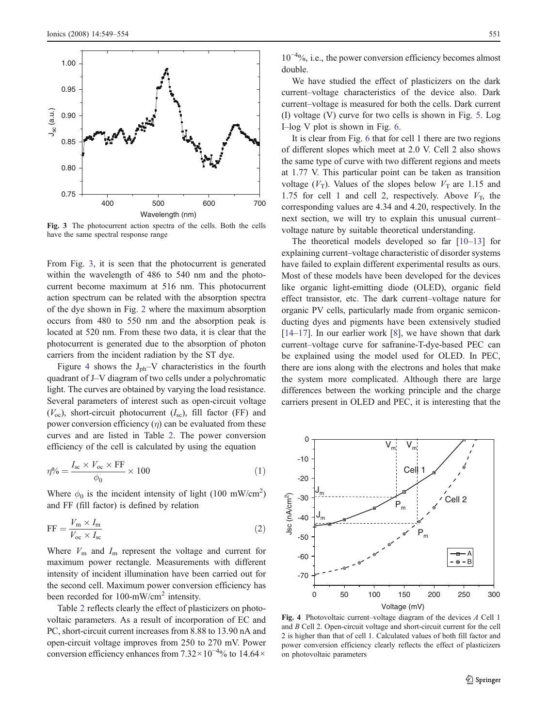<span id="page-2-0"></span>

Fig. 3 The photocurrent action spectra of the cells. Both the cells have the same spectral response range

From Fig. 3, it is seen that the photocurrent is generated within the wavelength of 486 to 540 nm and the photocurrent become maximum at 516 nm. This photocurrent action spectrum can be related with the absorption spectra of the dye shown in Fig. [2](#page-1-0) where the maximum absorption occurs from 480 to 550 nm and the absorption peak is located at 520 nm. From these two data, it is clear that the photocurrent is generated due to the absorption of photon carriers from the incident radiation by the ST dye.

Figure 4 shows the  $J_{ph}-V$  characteristics in the fourth quadrant of J–V diagram of two cells under a polychromatic light. The curves are obtained by varying the load resistance. Several parameters of interest such as open-circuit voltage  $(V_{\rm oc})$ , short-circuit photocurrent  $(I_{\rm sc})$ , fill factor (FF) and power conversion efficiency  $(\eta)$  can be evaluated from these curves and are listed in Table [2](#page-3-0). The power conversion efficiency of the cell is calculated by using the equation

$$
\eta\% = \frac{I_{\rm sc} \times V_{\rm oc} \times \text{FF}}{\phi_0} \times 100 \tag{1}
$$

Where  $\phi_0$  is the incident intensity of light (100 mW/cm<sup>2</sup>) and FF (fill factor) is defined by relation

$$
FF = \frac{V_m \times I_m}{V_{oc} \times I_{sc}} \tag{2}
$$

Where  $V_{\text{m}}$  and  $I_{\text{m}}$  represent the voltage and current for maximum power rectangle. Measurements with different intensity of incident illumination have been carried out for the second cell. Maximum power conversion efficiency has been recorded for 100-mW/cm<sup>2</sup> intensity.

Table [2](#page-3-0) reflects clearly the effect of plasticizers on photovoltaic parameters. As a result of incorporation of EC and PC, short-circuit current increases from 8.88 to 13.90 nA and open-circuit voltage improves from 250 to 270 mV. Power conversion efficiency enhances from 7.32×10−<sup>4</sup> % to 14.64×

10−<sup>4</sup> %, i.e., the power conversion efficiency becomes almost double.

We have studied the effect of plasticizers on the dark current–voltage characteristics of the device also. Dark current–voltage is measured for both the cells. Dark current (I) voltage (V) curve for two cells is shown in Fig. [5](#page-3-0). Log I–log V plot is shown in Fig. [6.](#page-3-0)

It is clear from Fig. [6](#page-3-0) that for cell 1 there are two regions of different slopes which meet at 2.0 V. Cell 2 also shows the same type of curve with two different regions and meets at 1.77 V. This particular point can be taken as transition voltage  $(V_T)$ . Values of the slopes below  $V_T$  are 1.15 and 1.75 for cell 1 and cell 2, respectively. Above  $V<sub>T</sub>$ , the corresponding values are 4.34 and 4.20, respectively. In the next section, we will try to explain this unusual current– voltage nature by suitable theoretical understanding.

The theoretical models developed so far [\[10](#page-5-0)–[13](#page-5-0)] for explaining current–voltage characteristic of disorder systems have failed to explain different experimental results as ours. Most of these models have been developed for the devices like organic light-emitting diode (OLED), organic field effect transistor, etc. The dark current–voltage nature for organic PV cells, particularly made from organic semiconducting dyes and pigments have been extensively studied [\[14](#page-5-0)–[17](#page-5-0)]. In our earlier work [\[8](#page-5-0)], we have shown that dark current–voltage curve for safranine-T-dye-based PEC can be explained using the model used for OLED. In PEC, there are ions along with the electrons and holes that make the system more complicated. Although there are large differences between the working principle and the charge carriers present in OLED and PEC, it is interesting that the



Fig. 4 Photovoltaic current–voltage diagram of the devices A Cell 1 and B Cell 2. Open-circuit voltage and short-circuit current for the cell 2 is higher than that of cell 1. Calculated values of both fill factor and power conversion efficiency clearly reflects the effect of plasticizers on photovoltaic parameters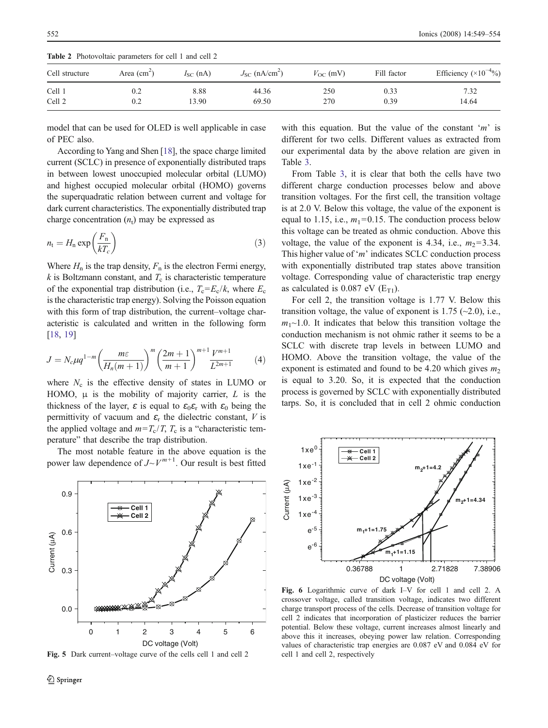| Cell structure | Area $(cm2)$ | $I_{SC}$ (nA) | $J_{SC}$ (nA/cm <sup>2</sup> ) | $V_{\rm OC}$ (mV) | Fill factor | Efficiency $(\times 10^{-4}\%)$ |
|----------------|--------------|---------------|--------------------------------|-------------------|-------------|---------------------------------|
| Cell 1         | 0.2          | 8.88          | 44.36                          | 250               | 0.33        | 7.32                            |
| Cell 2         | 0.2          | 13.90         | 69.50                          | 270               | 0.39        | 14.64                           |

<span id="page-3-0"></span>Table 2 Photovoltaic parameters for cell 1 and cell 2

model that can be used for OLED is well applicable in case of PEC also.

According to Yang and Shen [\[18](#page-5-0)], the space charge limited current (SCLC) in presence of exponentially distributed traps in between lowest unoccupied molecular orbital (LUMO) and highest occupied molecular orbital (HOMO) governs the superquadratic relation between current and voltage for dark current characteristics. The exponentially distributed trap charge concentration  $(n_t)$  may be expressed as

$$
n_{\rm t} = H_{\rm n} \exp\left(\frac{F_{\rm n}}{kT_c}\right) \tag{3}
$$

Where  $H_n$  is the trap density,  $F_n$  is the electron Fermi energy,  $k$  is Boltzmann constant, and  $T_c$  is characteristic temperature of the exponential trap distribution (i.e.,  $T_c = E_c/k$ , where  $E_c$ is the characteristic trap energy). Solving the Poisson equation with this form of trap distribution, the current–voltage characteristic is calculated and written in the following form [\[18,](#page-5-0) [19](#page-5-0)]

$$
J = N_c \mu q^{1-m} \left( \frac{m \varepsilon}{H_n(m+1)} \right)^m \left( \frac{2m+1}{m+1} \right)^{m+1} \frac{V^{m+1}}{L^{2m+1}} \tag{4}
$$

where  $N_c$  is the effective density of states in LUMO or HOMO,  $\mu$  is the mobility of majority carrier, L is the thickness of the layer,  $\varepsilon$  is equal to  $\varepsilon_0 \varepsilon_r$  with  $\varepsilon_0$  being the permittivity of vacuum and  $\varepsilon_r$  the dielectric constant, V is the applied voltage and  $m=T_c/T$ ,  $T_c$  is a "characteristic temperature" that describe the trap distribution.

The most notable feature in the above equation is the power law dependence of  $J \sim V^{m+1}$ . Our result is best fitted



Fig. 5 Dark current–voltage curve of the cells cell 1 and cell 2

with this equation. But the value of the constant 'm' is different for two cells. Different values as extracted from our experimental data by the above relation are given in Table [3](#page-4-0).

From Table [3,](#page-4-0) it is clear that both the cells have two different charge conduction processes below and above transition voltages. For the first cell, the transition voltage is at 2.0 V. Below this voltage, the value of the exponent is equal to 1.15, i.e.,  $m_1=0.15$ . The conduction process below this voltage can be treated as ohmic conduction. Above this voltage, the value of the exponent is 4.34, i.e.,  $m_2$ =3.34. This higher value of 'm' indicates SCLC conduction process with exponentially distributed trap states above transition voltage. Corresponding value of characteristic trap energy as calculated is  $0.087$  eV ( $E_{T1}$ ).

For cell 2, the transition voltage is 1.77 V. Below this transition voltage, the value of exponent is 1.75  $(-2.0)$ , i.e.,  $m_1 \sim 1.0$ . It indicates that below this transition voltage the conduction mechanism is not ohmic rather it seems to be a SCLC with discrete trap levels in between LUMO and HOMO. Above the transition voltage, the value of the exponent is estimated and found to be 4.20 which gives  $m_2$ is equal to 3.20. So, it is expected that the conduction process is governed by SCLC with exponentially distributed tarps. So, it is concluded that in cell 2 ohmic conduction



Fig. 6 Logarithmic curve of dark I–V for cell 1 and cell 2. A crossover voltage, called transition voltage, indicates two different charge transport process of the cells. Decrease of transition voltage for cell 2 indicates that incorporation of plasticizer reduces the barrier potential. Below these voltage, current increases almost linearly and above this it increases, obeying power law relation. Corresponding values of characteristic trap energies are 0.087 eV and 0.084 eV for cell 1 and cell 2, respectively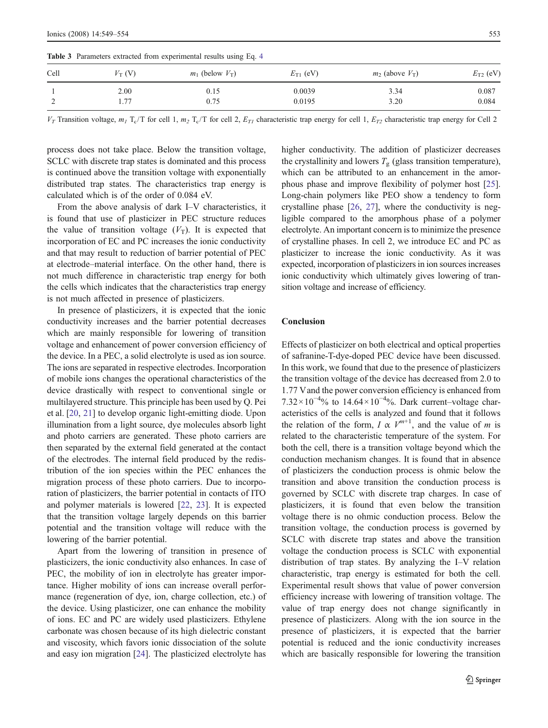| Cell        | $V_T$ (V) | $m_1$ (below $V_T$ ) | $E_{\text{T1}}$ (eV) | $m_2$ (above $V_T$ ) | $E_{\text{T2}}$ (eV) |
|-------------|-----------|----------------------|----------------------|----------------------|----------------------|
|             | 2.00      | 0.15                 | 0.0039               | 3.34                 | 0.087                |
| $\sim$<br>∼ | 1.77      | 0.75                 | 0.0195               | 3.20                 | 0.084                |

<span id="page-4-0"></span>Table 3 Parameters extracted from experimental results using Eq. [4](#page-3-0)

 $V_T$  Transition voltage,  $m_I T_c/T$  for cell 1,  $m_2 T_c/T$  for cell 2,  $E_{TI}$  characteristic trap energy for cell 1,  $E_{T2}$  characteristic trap energy for Cell 2

process does not take place. Below the transition voltage, SCLC with discrete trap states is dominated and this process is continued above the transition voltage with exponentially distributed trap states. The characteristics trap energy is calculated which is of the order of 0.084 eV.

From the above analysis of dark I–V characteristics, it is found that use of plasticizer in PEC structure reduces the value of transition voltage  $(V<sub>T</sub>)$ . It is expected that incorporation of EC and PC increases the ionic conductivity and that may result to reduction of barrier potential of PEC at electrode–material interface. On the other hand, there is not much difference in characteristic trap energy for both the cells which indicates that the characteristics trap energy is not much affected in presence of plasticizers.

In presence of plasticizers, it is expected that the ionic conductivity increases and the barrier potential decreases which are mainly responsible for lowering of transition voltage and enhancement of power conversion efficiency of the device. In a PEC, a solid electrolyte is used as ion source. The ions are separated in respective electrodes. Incorporation of mobile ions changes the operational characteristics of the device drastically with respect to conventional single or multilayered structure. This principle has been used by Q. Pei et al. [\[20](#page-5-0), [21](#page-5-0)] to develop organic light-emitting diode. Upon illumination from a light source, dye molecules absorb light and photo carriers are generated. These photo carriers are then separated by the external field generated at the contact of the electrodes. The internal field produced by the redistribution of the ion species within the PEC enhances the migration process of these photo carriers. Due to incorporation of plasticizers, the barrier potential in contacts of ITO and polymer materials is lowered [[22](#page-5-0), [23](#page-5-0)]. It is expected that the transition voltage largely depends on this barrier potential and the transition voltage will reduce with the lowering of the barrier potential.

Apart from the lowering of transition in presence of plasticizers, the ionic conductivity also enhances. In case of PEC, the mobility of ion in electrolyte has greater importance. Higher mobility of ions can increase overall performance (regeneration of dye, ion, charge collection, etc.) of the device. Using plasticizer, one can enhance the mobility of ions. EC and PC are widely used plasticizers. Ethylene carbonate was chosen because of its high dielectric constant and viscosity, which favors ionic dissociation of the solute and easy ion migration [[24](#page-5-0)]. The plasticized electrolyte has

higher conductivity. The addition of plasticizer decreases the crystallinity and lowers  $T_g$  (glass transition temperature), which can be attributed to an enhancement in the amorphous phase and improve flexibility of polymer host [[25\]](#page-5-0). Long-chain polymers like PEO show a tendency to form crystalline phase [\[26,](#page-5-0) [27\]](#page-5-0), where the conductivity is negligible compared to the amorphous phase of a polymer electrolyte. An important concern is to minimize the presence of crystalline phases. In cell 2, we introduce EC and PC as plasticizer to increase the ionic conductivity. As it was expected, incorporation of plasticizers in ion sources increases ionic conductivity which ultimately gives lowering of transition voltage and increase of efficiency.

# Conclusion

Effects of plasticizer on both electrical and optical properties of safranine-T-dye-doped PEC device have been discussed. In this work, we found that due to the presence of plasticizers the transition voltage of the device has decreased from 2.0 to 1.77 Vand the power conversion efficiency is enhanced from  $7.32 \times 10^{-4}$ % to  $14.64 \times 10^{-4}$ %. Dark current–voltage characteristics of the cells is analyzed and found that it follows the relation of the form,  $I \propto V^{m+1}$ , and the value of m is related to the characteristic temperature of the system. For both the cell, there is a transition voltage beyond which the conduction mechanism changes. It is found that in absence of plasticizers the conduction process is ohmic below the transition and above transition the conduction process is governed by SCLC with discrete trap charges. In case of plasticizers, it is found that even below the transition voltage there is no ohmic conduction process. Below the transition voltage, the conduction process is governed by SCLC with discrete trap states and above the transition voltage the conduction process is SCLC with exponential distribution of trap states. By analyzing the I–V relation characteristic, trap energy is estimated for both the cell. Experimental result shows that value of power conversion efficiency increase with lowering of transition voltage. The value of trap energy does not change significantly in presence of plasticizers. Along with the ion source in the presence of plasticizers, it is expected that the barrier potential is reduced and the ionic conductivity increases which are basically responsible for lowering the transition